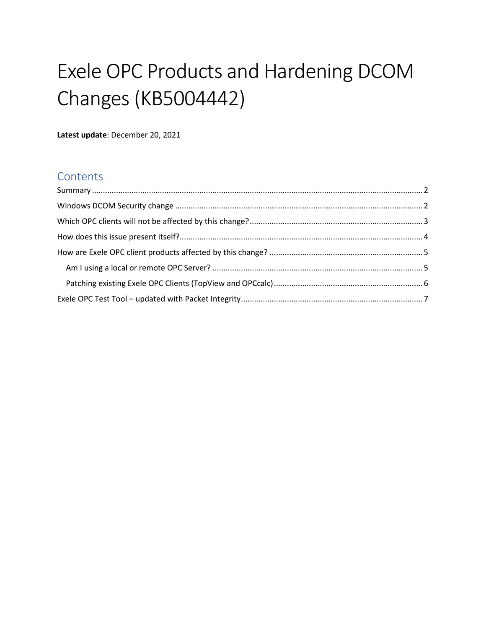# Exele OPC Products and Hardening DCOM Changes (KB5004442)

**Latest update**: December 20, 2021

## **Contents**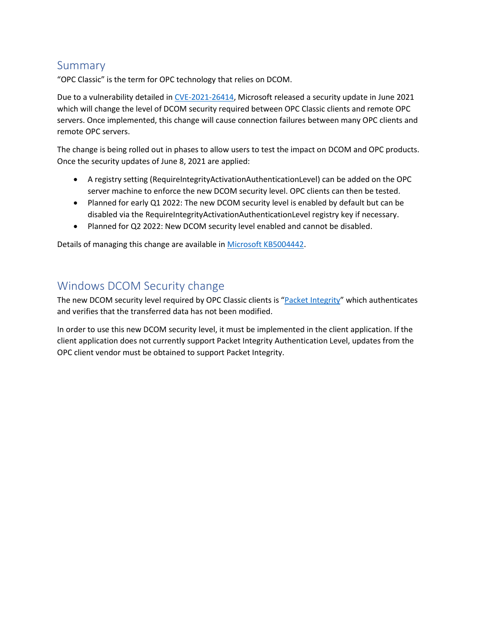## <span id="page-1-0"></span>Summary

"OPC Classic" is the term for OPC technology that relies on DCOM.

Due to a vulnerability detailed in [CVE-2021-26414,](https://msrc.microsoft.com/update-guide/vulnerability/CVE-2021-26414) Microsoft released a security update in June 2021 which will change the level of DCOM security required between OPC Classic clients and remote OPC servers. Once implemented, this change will cause connection failures between many OPC clients and remote OPC servers.

The change is being rolled out in phases to allow users to test the impact on DCOM and OPC products. Once the security updates of June 8, 2021 are applied:

- A registry setting (RequireIntegrityActivationAuthenticationLevel) can be added on the OPC server machine to enforce the new DCOM security level. OPC clients can then be tested.
- Planned for early Q1 2022: The new DCOM security level is enabled by default but can be disabled via the RequireIntegrityActivationAuthenticationLevel registry key if necessary.
- Planned for Q2 2022: New DCOM security level enabled and cannot be disabled.

Details of managing this change are available in [Microsoft KB5004442.](https://support.microsoft.com/en-us/topic/kb5004442-manage-changes-for-windows-dcom-server-security-feature-bypass-cve-2021-26414-f1400b52-c141-43d2-941e-37ed901c769c)

## <span id="page-1-1"></span>Windows DCOM Security change

The new DCOM security level required by OPC Classic clients is "[Packet Integrity](https://docs.microsoft.com/en-us/windows/win32/rpc/authentication-level-constants)" which authenticates and verifies that the transferred data has not been modified.

In order to use this new DCOM security level, it must be implemented in the client application. If the client application does not currently support Packet Integrity Authentication Level, updates from the OPC client vendor must be obtained to support Packet Integrity.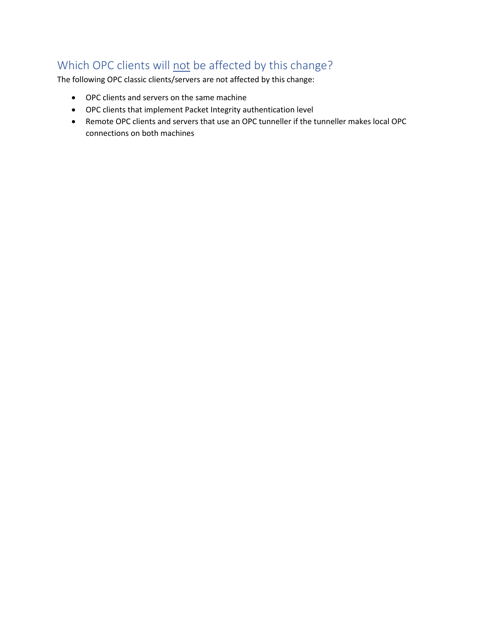# <span id="page-2-0"></span>Which OPC clients will not be affected by this change?

The following OPC classic clients/servers are not affected by this change:

- OPC clients and servers on the same machine
- OPC clients that implement Packet Integrity authentication level
- Remote OPC clients and servers that use an OPC tunneller if the tunneller makes local OPC connections on both machines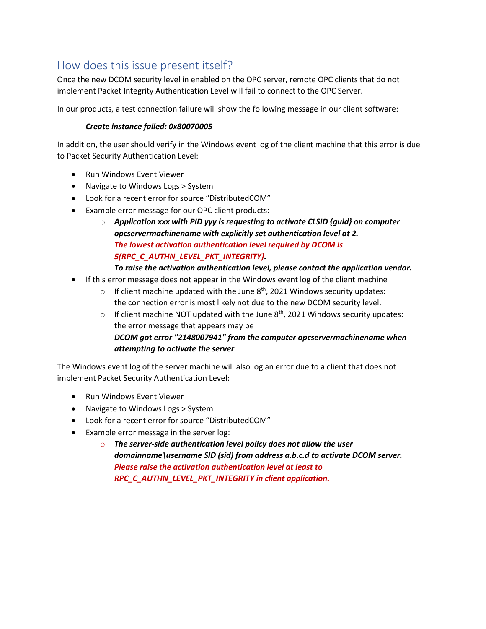## <span id="page-3-0"></span>How does this issue present itself?

Once the new DCOM security level in enabled on the OPC server, remote OPC clients that do not implement Packet Integrity Authentication Level will fail to connect to the OPC Server.

In our products, a test connection failure will show the following message in our client software:

#### *Create instance failed: 0x80070005*

In addition, the user should verify in the Windows event log of the client machine that this error is due to Packet Security Authentication Level:

- Run Windows Event Viewer
- Navigate to Windows Logs > System
- Look for a recent error for source "DistributedCOM"
- Example error message for our OPC client products:
	- o *Application xxx with PID yyy is requesting to activate CLSID {guid} on computer opcservermachinename with explicitly set authentication level at 2. The lowest activation authentication level required by DCOM is 5(RPC\_C\_AUTHN\_LEVEL\_PKT\_INTEGRITY).*

#### *To raise the activation authentication level, please contact the application vendor.*

- If this error message does not appear in the Windows event log of the client machine
	- o If client machine updated with the June  $8<sup>th</sup>$ , 2021 Windows security updates: the connection error is most likely not due to the new DCOM security level.
	- o If client machine NOT updated with the June  $8<sup>th</sup>$ , 2021 Windows security updates: the error message that appears may be *DCOM got error "2148007941" from the computer opcservermachinename when attempting to activate the server*

The Windows event log of the server machine will also log an error due to a client that does not implement Packet Security Authentication Level:

- Run Windows Event Viewer
- Navigate to Windows Logs > System
- Look for a recent error for source "DistributedCOM"
- Example error message in the server log:
	- o *The server-side authentication level policy does not allow the user domainname\username SID (sid) from address a.b.c.d to activate DCOM server. Please raise the activation authentication level at least to RPC\_C\_AUTHN\_LEVEL\_PKT\_INTEGRITY in client application.*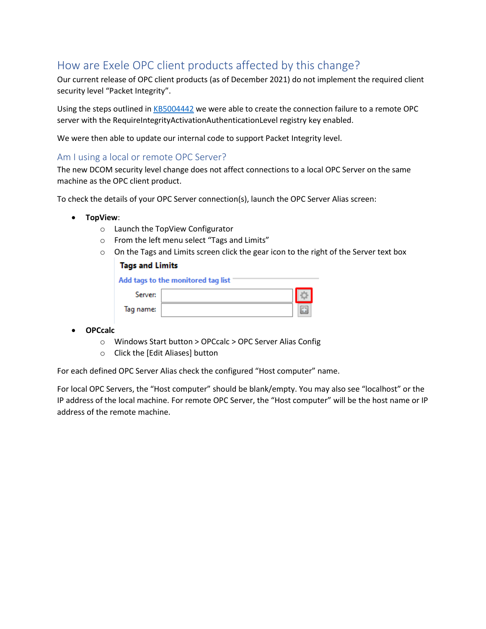# <span id="page-4-0"></span>How are Exele OPC client products affected by this change?

Our current release of OPC client products (as of December 2021) do not implement the required client security level "Packet Integrity".

Using the steps outlined i[n KB5004442](https://support.microsoft.com/en-us/topic/kb5004442-manage-changes-for-windows-dcom-server-security-feature-bypass-cve-2021-26414-f1400b52-c141-43d2-941e-37ed901c769c) we were able to create the connection failure to a remote OPC server with the RequireIntegrityActivationAuthenticationLevel registry key enabled.

We were then able to update our internal code to support Packet Integrity level.

#### <span id="page-4-1"></span>Am I using a local or remote OPC Server?

The new DCOM security level change does not affect connections to a local OPC Server on the same machine as the OPC client product.

To check the details of your OPC Server connection(s), launch the OPC Server Alias screen:

- **TopView**:
	- o Launch the TopView Configurator
	- o From the left menu select "Tags and Limits"
	- $\circ$  On the Tags and Limits screen click the gear icon to the right of the Server text box

#### **Tags and Limits**

| Add tags to the monitored tag list |  |  |  |  |  |  |  |
|------------------------------------|--|--|--|--|--|--|--|
| Server:                            |  |  |  |  |  |  |  |
| Tag name:                          |  |  |  |  |  |  |  |

- **OPCcalc**
	- o Windows Start button > OPCcalc > OPC Server Alias Config
	- o Click the [Edit Aliases] button

For each defined OPC Server Alias check the configured "Host computer" name.

For local OPC Servers, the "Host computer" should be blank/empty. You may also see "localhost" or the IP address of the local machine. For remote OPC Server, the "Host computer" will be the host name or IP address of the remote machine.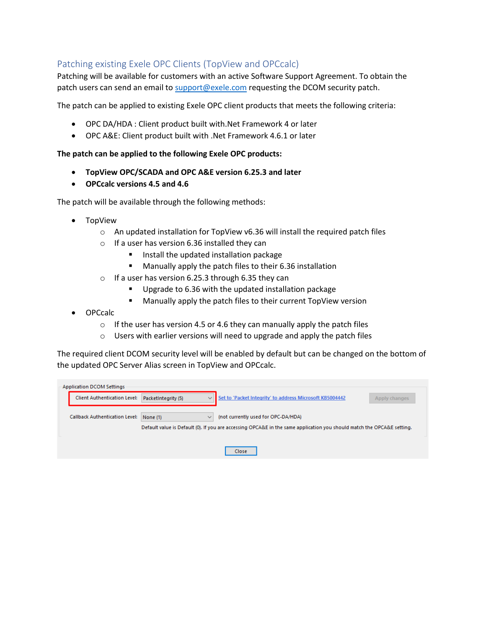### <span id="page-5-0"></span>Patching existing Exele OPC Clients (TopView and OPCcalc)

Patching will be available for customers with an active Software Support Agreement. To obtain the patch users can send an email to [support@exele.com](mailto:support@exele.com) requesting the DCOM security patch.

The patch can be applied to existing Exele OPC client products that meets the following criteria:

- OPC DA/HDA : Client product built with.Net Framework 4 or later
- OPC A&E: Client product built with .Net Framework 4.6.1 or later

#### **The patch can be applied to the following Exele OPC products:**

- **TopView OPC/SCADA and OPC A&E version 6.25.3 and later**
- **OPCcalc versions 4.5 and 4.6**

The patch will be available through the following methods:

- TopView
	- o An updated installation for TopView v6.36 will install the required patch files
	- o If a user has version 6.36 installed they can
		- Install the updated installation package
		- Manually apply the patch files to their 6.36 installation
	- o If a user has version 6.25.3 through 6.35 they can
		- Upgrade to 6.36 with the updated installation package
		- Manually apply the patch files to their current TopView version
- OPCcalc
	- $\circ$  If the user has version 4.5 or 4.6 they can manually apply the patch files
	- o Users with earlier versions will need to upgrade and apply the patch files

The required client DCOM security level will be enabled by default but can be changed on the bottom of the updated OPC Server Alias screen in TopView and OPCcalc.

| Application DCOM Settings             |                                                                                                                        |                                                          |               |  |
|---------------------------------------|------------------------------------------------------------------------------------------------------------------------|----------------------------------------------------------|---------------|--|
| <b>Client Authentication Level:</b>   | PacketIntegrity (5)<br>$\checkmark$                                                                                    | Set to 'Packet Integrity' to address Microsoft KB5004442 | Apply changes |  |
|                                       |                                                                                                                        |                                                          |               |  |
| <b>Callback Authentication Level:</b> | None (1)<br>$\checkmark$                                                                                               | (not currently used for OPC-DA/HDA)                      |               |  |
|                                       | Default value is Default (0). If you are accessing OPCA&E in the same application you should match the OPCA&E setting. |                                                          |               |  |
|                                       |                                                                                                                        |                                                          |               |  |
|                                       |                                                                                                                        | Close                                                    |               |  |